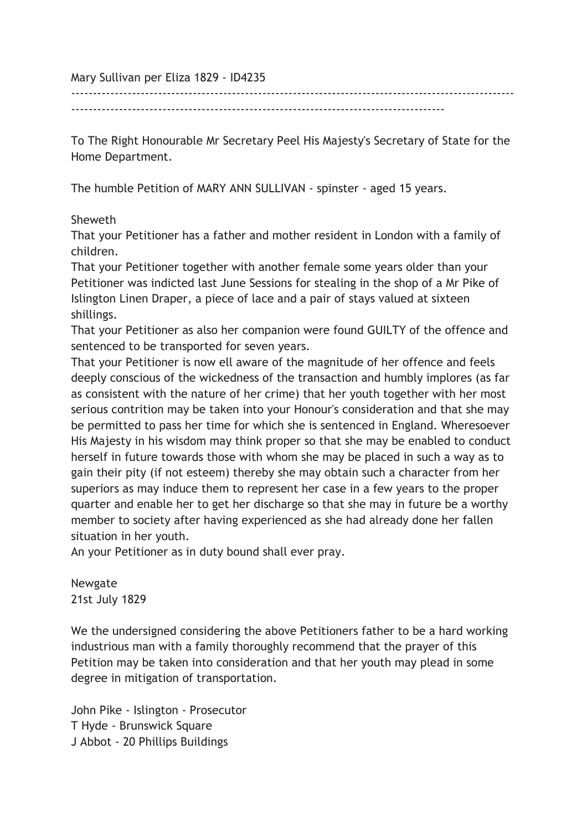Mary Sullivan per Eliza 1829 - ID4235

--------------------------------------------------------------------------------------

------------------------------------------------------------------------------------------------------

To The Right Honourable Mr Secretary Peel His Majesty's Secretary of State for the Home Department.

The humble Petition of MARY ANN SULLIVAN - spinster - aged 15 years.

## Sheweth

That your Petitioner has a father and mother resident in London with a family of children.

That your Petitioner together with another female some years older than your Petitioner was indicted last June Sessions for stealing in the shop of a Mr Pike of Islington Linen Draper, a piece of lace and a pair of stays valued at sixteen shillings.

That your Petitioner as also her companion were found GUILTY of the offence and sentenced to be transported for seven years.

That your Petitioner is now ell aware of the magnitude of her offence and feels deeply conscious of the wickedness of the transaction and humbly implores (as far as consistent with the nature of her crime) that her youth together with her most serious contrition may be taken into your Honour's consideration and that she may be permitted to pass her time for which she is sentenced in England. Wheresoever His Majesty in his wisdom may think proper so that she may be enabled to conduct herself in future towards those with whom she may be placed in such a way as to gain their pity (if not esteem) thereby she may obtain such a character from her superiors as may induce them to represent her case in a few years to the proper quarter and enable her to get her discharge so that she may in future be a worthy member to society after having experienced as she had already done her fallen situation in her youth.

An your Petitioner as in duty bound shall ever pray.

Newgate 21st July 1829

We the undersigned considering the above Petitioners father to be a hard working industrious man with a family thoroughly recommend that the prayer of this Petition may be taken into consideration and that her youth may plead in some degree in mitigation of transportation.

John Pike - Islington - Prosecutor T Hyde - Brunswick Square J Abbot - 20 Phillips Buildings